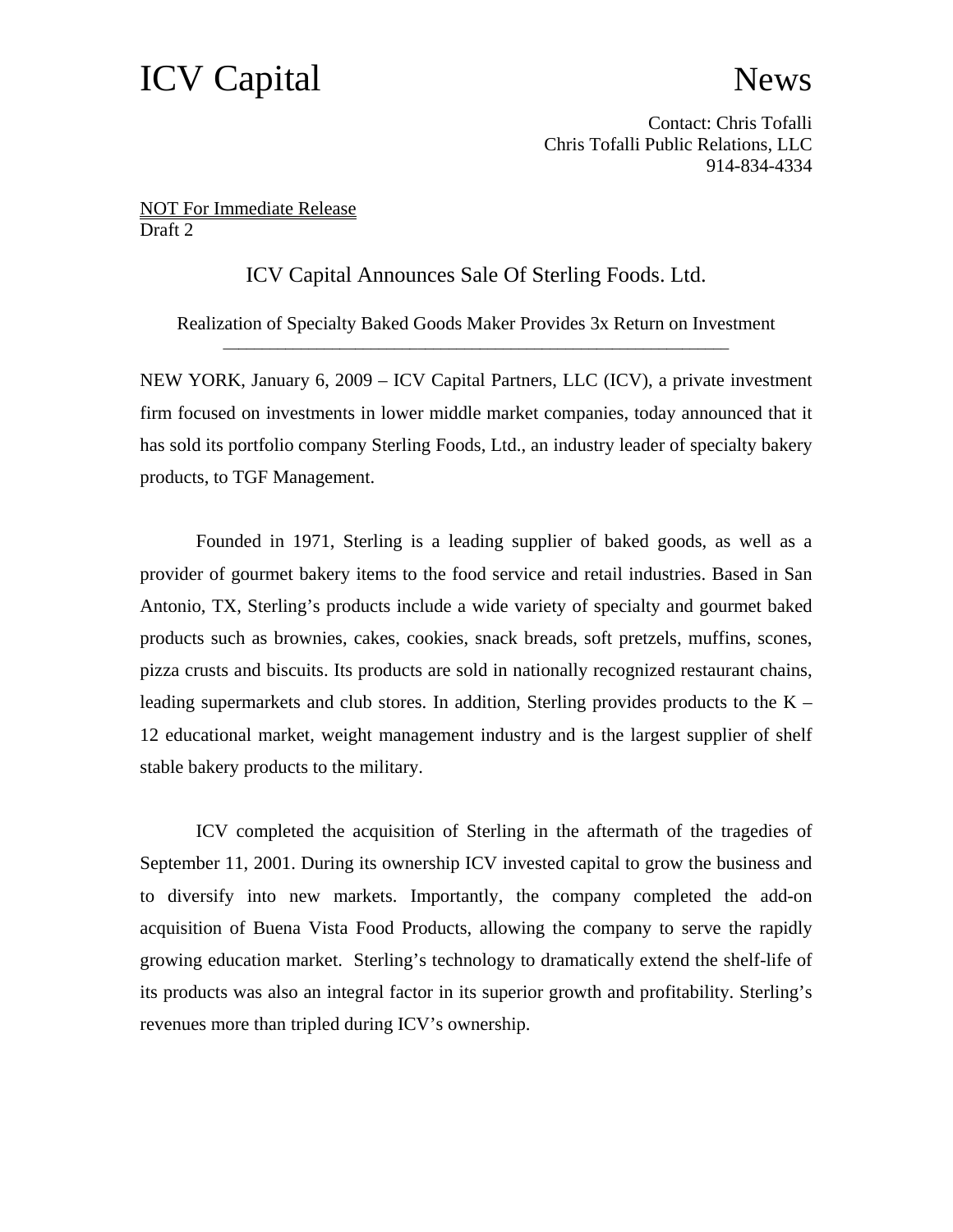## ICV Capital News

Contact: Chris Tofalli Chris Tofalli Public Relations, LLC 914-834-4334

NOT For Immediate Release Draft 2

ICV Capital Announces Sale Of Sterling Foods. Ltd.

Realization of Specialty Baked Goods Maker Provides 3x Return on Investment

NEW YORK, January 6, 2009 – ICV Capital Partners, LLC (ICV), a private investment firm focused on investments in lower middle market companies, today announced that it has sold its portfolio company Sterling Foods, Ltd., an industry leader of specialty bakery products, to TGF Management.

Founded in 1971, Sterling is a leading supplier of baked goods, as well as a provider of gourmet bakery items to the food service and retail industries. Based in San Antonio, TX, Sterling's products include a wide variety of specialty and gourmet baked products such as brownies, cakes, cookies, snack breads, soft pretzels, muffins, scones, pizza crusts and biscuits. Its products are sold in nationally recognized restaurant chains, leading supermarkets and club stores. In addition, Sterling provides products to the  $K -$ 12 educational market, weight management industry and is the largest supplier of shelf stable bakery products to the military.

ICV completed the acquisition of Sterling in the aftermath of the tragedies of September 11, 2001. During its ownership ICV invested capital to grow the business and to diversify into new markets. Importantly, the company completed the add-on acquisition of Buena Vista Food Products, allowing the company to serve the rapidly growing education market. Sterling's technology to dramatically extend the shelf-life of its products was also an integral factor in its superior growth and profitability. Sterling's revenues more than tripled during ICV's ownership.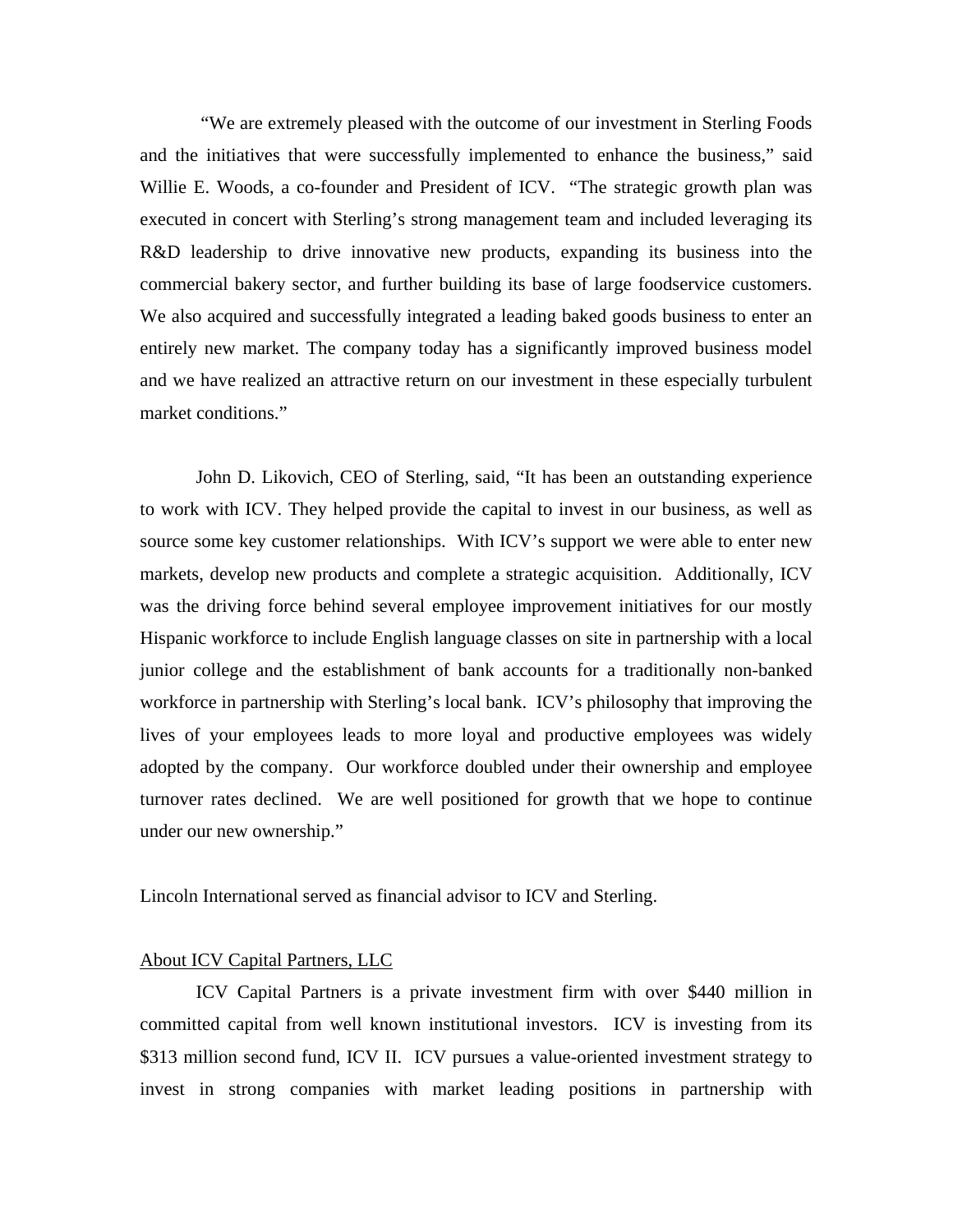"We are extremely pleased with the outcome of our investment in Sterling Foods and the initiatives that were successfully implemented to enhance the business," said Willie E. Woods, a co-founder and President of ICV. "The strategic growth plan was executed in concert with Sterling's strong management team and included leveraging its R&D leadership to drive innovative new products, expanding its business into the commercial bakery sector, and further building its base of large foodservice customers. We also acquired and successfully integrated a leading baked goods business to enter an entirely new market. The company today has a significantly improved business model and we have realized an attractive return on our investment in these especially turbulent market conditions."

 John D. Likovich, CEO of Sterling, said, "It has been an outstanding experience to work with ICV. They helped provide the capital to invest in our business, as well as source some key customer relationships. With ICV's support we were able to enter new markets, develop new products and complete a strategic acquisition. Additionally, ICV was the driving force behind several employee improvement initiatives for our mostly Hispanic workforce to include English language classes on site in partnership with a local junior college and the establishment of bank accounts for a traditionally non-banked workforce in partnership with Sterling's local bank. ICV's philosophy that improving the lives of your employees leads to more loyal and productive employees was widely adopted by the company. Our workforce doubled under their ownership and employee turnover rates declined. We are well positioned for growth that we hope to continue under our new ownership."

Lincoln International served as financial advisor to ICV and Sterling.

## About ICV Capital Partners, LLC

ICV Capital Partners is a private investment firm with over \$440 million in committed capital from well known institutional investors. ICV is investing from its \$313 million second fund, ICV II. ICV pursues a value-oriented investment strategy to invest in strong companies with market leading positions in partnership with